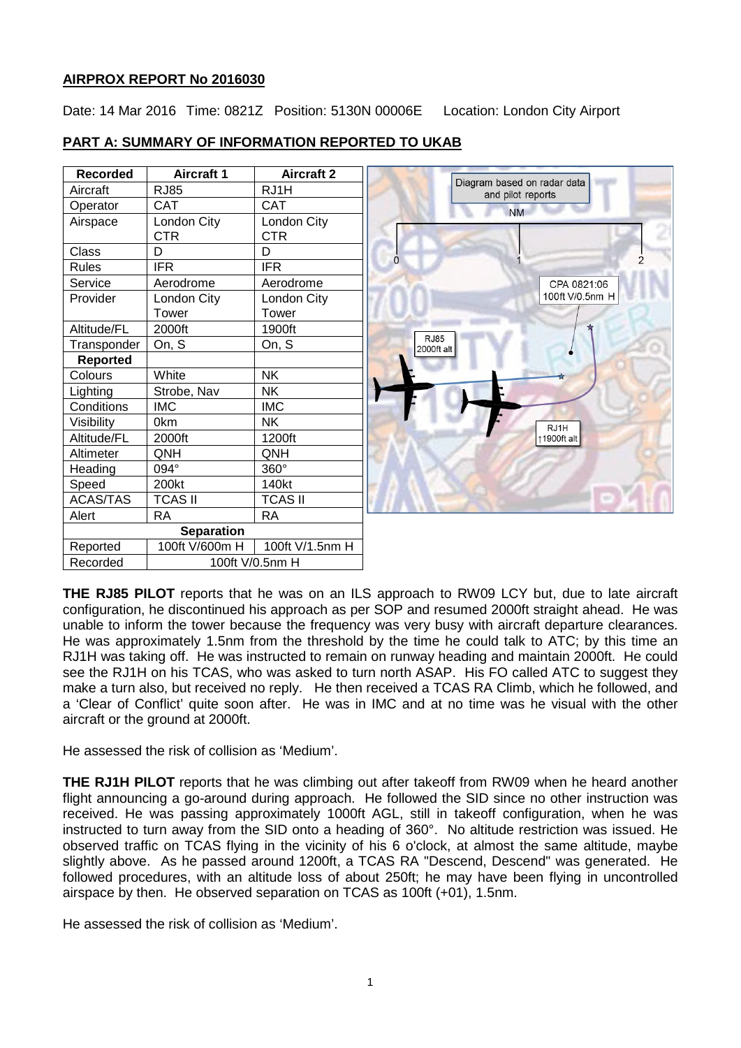## **AIRPROX REPORT No 2016030**

Date: 14 Mar 2016 Time: 0821Z Position: 5130N 00006E Location: London City Airport

# **PART A: SUMMARY OF INFORMATION REPORTED TO UKAB**

| <b>Recorded</b>   | Aircraft 1      | <b>Aircraft 2</b> |
|-------------------|-----------------|-------------------|
| Aircraft          | <b>RJ85</b>     | RJ1H              |
| Operator          | CAT             | <b>CAT</b>        |
| Airspace          | London City     | London City       |
|                   | <b>CTR</b>      | <b>CTR</b>        |
| Class             | D               | D                 |
| Rules             | <b>IFR</b>      | <b>IFR</b>        |
| Service           | Aerodrome       | Aerodrome         |
| Provider          | London City     | London City       |
|                   | Tower           | Tower             |
| Altitude/FL       | 2000ft          | 1900ft            |
| Transponder       | On, S           | On, S             |
| <b>Reported</b>   |                 |                   |
| Colours           | White           | <b>NK</b>         |
| Lighting          | Strobe, Nav     | NΚ                |
| Conditions        | <b>IMC</b>      | <b>IMC</b>        |
| Visibility        | 0km             | NΚ                |
| Altitude/FL       | 2000ft          | 1200ft            |
| Altimeter         | ONH             | <b>ONH</b>        |
| Heading           | 094°            | 360°              |
| Speed             | 200kt           | 140kt             |
| <b>ACAS/TAS</b>   | TCAS II         | <b>TCAS II</b>    |
| Alert             | RA              | RA                |
| <b>Separation</b> |                 |                   |
| Reported          | 100ft V/600m H  | 100ft V/1.5nm H   |
| Recorded          | 100ft V/0.5nm H |                   |



**THE RJ85 PILOT** reports that he was on an ILS approach to RW09 LCY but, due to late aircraft configuration, he discontinued his approach as per SOP and resumed 2000ft straight ahead. He was unable to inform the tower because the frequency was very busy with aircraft departure clearances. He was approximately 1.5nm from the threshold by the time he could talk to ATC; by this time an RJ1H was taking off. He was instructed to remain on runway heading and maintain 2000ft. He could see the RJ1H on his TCAS, who was asked to turn north ASAP. His FO called ATC to suggest they make a turn also, but received no reply. He then received a TCAS RA Climb, which he followed, and a 'Clear of Conflict' quite soon after. He was in IMC and at no time was he visual with the other aircraft or the ground at 2000ft.

He assessed the risk of collision as 'Medium'.

**THE RJ1H PILOT** reports that he was climbing out after takeoff from RW09 when he heard another flight announcing a go-around during approach. He followed the SID since no other instruction was received. He was passing approximately 1000ft AGL, still in takeoff configuration, when he was instructed to turn away from the SID onto a heading of 360°. No altitude restriction was issued. He observed traffic on TCAS flying in the vicinity of his 6 o'clock, at almost the same altitude, maybe slightly above. As he passed around 1200ft, a TCAS RA "Descend, Descend" was generated. He followed procedures, with an altitude loss of about 250ft; he may have been flying in uncontrolled airspace by then. He observed separation on TCAS as 100ft (+01), 1.5nm.

He assessed the risk of collision as 'Medium'.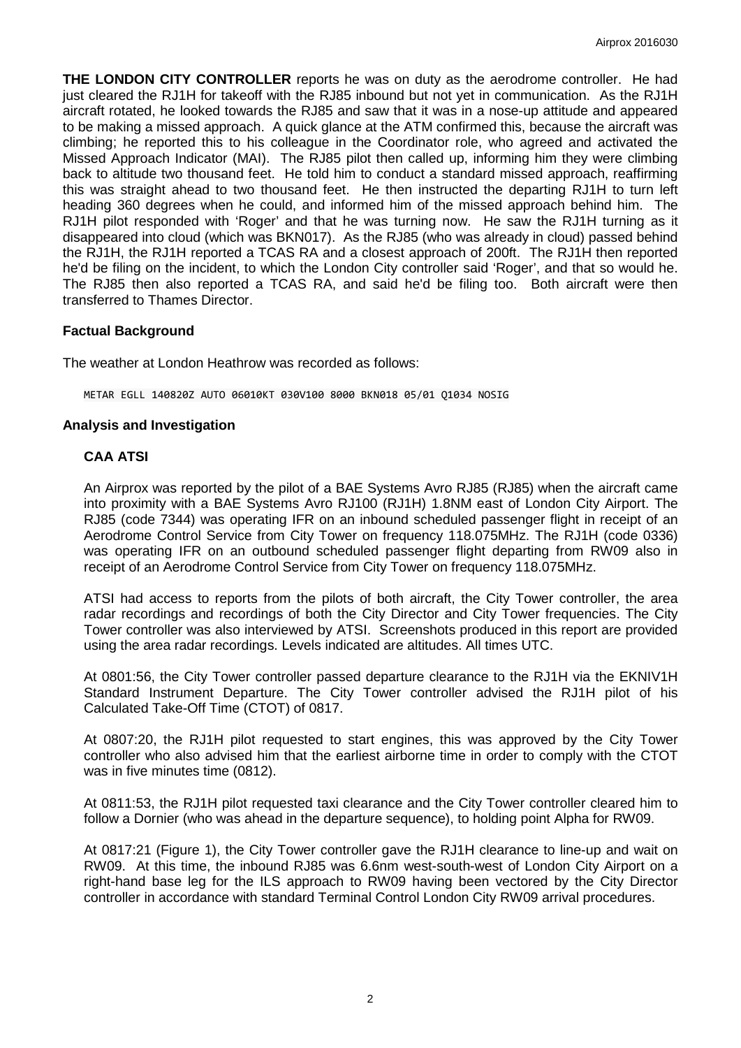**THE LONDON CITY CONTROLLER** reports he was on duty as the aerodrome controller. He had just cleared the RJ1H for takeoff with the RJ85 inbound but not yet in communication. As the RJ1H aircraft rotated, he looked towards the RJ85 and saw that it was in a nose-up attitude and appeared to be making a missed approach. A quick glance at the ATM confirmed this, because the aircraft was climbing; he reported this to his colleague in the Coordinator role, who agreed and activated the Missed Approach Indicator (MAI). The RJ85 pilot then called up, informing him they were climbing back to altitude two thousand feet. He told him to conduct a standard missed approach, reaffirming this was straight ahead to two thousand feet. He then instructed the departing RJ1H to turn left heading 360 degrees when he could, and informed him of the missed approach behind him. The RJ1H pilot responded with 'Roger' and that he was turning now. He saw the RJ1H turning as it disappeared into cloud (which was BKN017). As the RJ85 (who was already in cloud) passed behind the RJ1H, the RJ1H reported a TCAS RA and a closest approach of 200ft. The RJ1H then reported he'd be filing on the incident, to which the London City controller said 'Roger', and that so would he. The RJ85 then also reported a TCAS RA, and said he'd be filing too. Both aircraft were then transferred to Thames Director.

## **Factual Background**

The weather at London Heathrow was recorded as follows:

METAR EGLL 140820Z AUTO 06010KT 030V100 8000 BKN018 05/01 Q1034 NOSIG

#### **Analysis and Investigation**

## **CAA ATSI**

An Airprox was reported by the pilot of a BAE Systems Avro RJ85 (RJ85) when the aircraft came into proximity with a BAE Systems Avro RJ100 (RJ1H) 1.8NM east of London City Airport. The RJ85 (code 7344) was operating IFR on an inbound scheduled passenger flight in receipt of an Aerodrome Control Service from City Tower on frequency 118.075MHz. The RJ1H (code 0336) was operating IFR on an outbound scheduled passenger flight departing from RW09 also in receipt of an Aerodrome Control Service from City Tower on frequency 118.075MHz.

ATSI had access to reports from the pilots of both aircraft, the City Tower controller, the area radar recordings and recordings of both the City Director and City Tower frequencies. The City Tower controller was also interviewed by ATSI. Screenshots produced in this report are provided using the area radar recordings. Levels indicated are altitudes. All times UTC.

At 0801:56, the City Tower controller passed departure clearance to the RJ1H via the EKNIV1H Standard Instrument Departure. The City Tower controller advised the RJ1H pilot of his Calculated Take-Off Time (CTOT) of 0817.

At 0807:20, the RJ1H pilot requested to start engines, this was approved by the City Tower controller who also advised him that the earliest airborne time in order to comply with the CTOT was in five minutes time (0812).

At 0811:53, the RJ1H pilot requested taxi clearance and the City Tower controller cleared him to follow a Dornier (who was ahead in the departure sequence), to holding point Alpha for RW09.

At 0817:21 (Figure 1), the City Tower controller gave the RJ1H clearance to line-up and wait on RW09. At this time, the inbound RJ85 was 6.6nm west-south-west of London City Airport on a right-hand base leg for the ILS approach to RW09 having been vectored by the City Director controller in accordance with standard Terminal Control London City RW09 arrival procedures.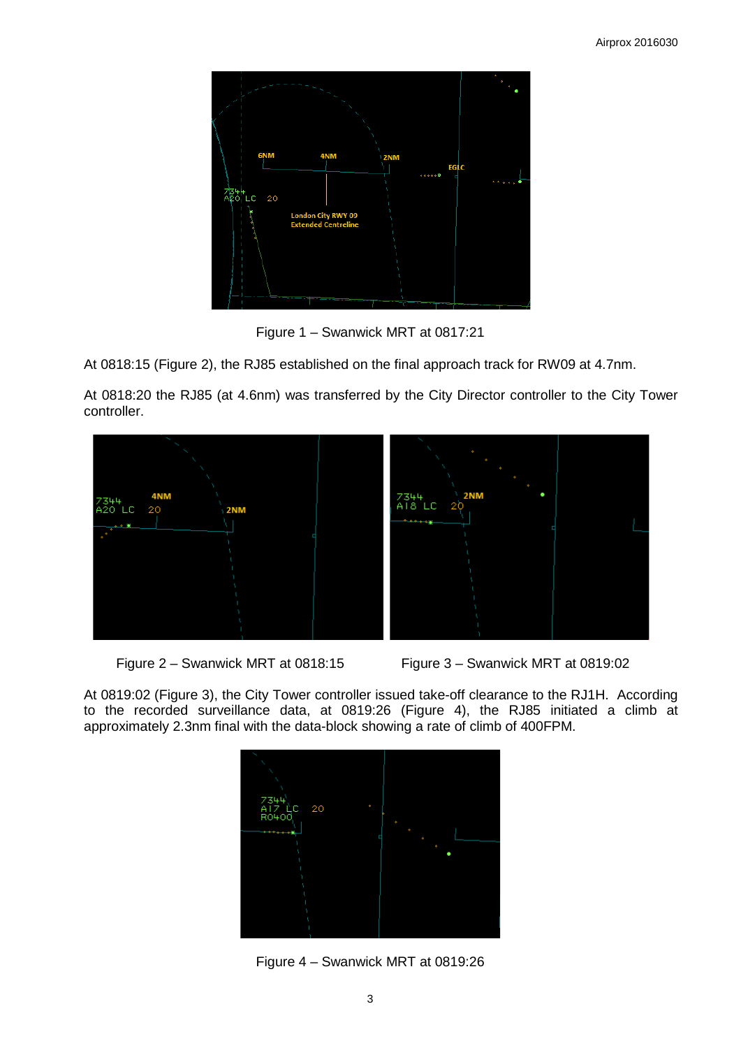

Figure 1 – Swanwick MRT at 0817:21

At 0818:15 (Figure 2), the RJ85 established on the final approach track for RW09 at 4.7nm.

At 0818:20 the RJ85 (at 4.6nm) was transferred by the City Director controller to the City Tower controller.





At 0819:02 (Figure 3), the City Tower controller issued take-off clearance to the RJ1H. According to the recorded surveillance data, at 0819:26 (Figure 4), the RJ85 initiated a climb at approximately 2.3nm final with the data-block showing a rate of climb of 400FPM.



Figure 4 – Swanwick MRT at 0819:26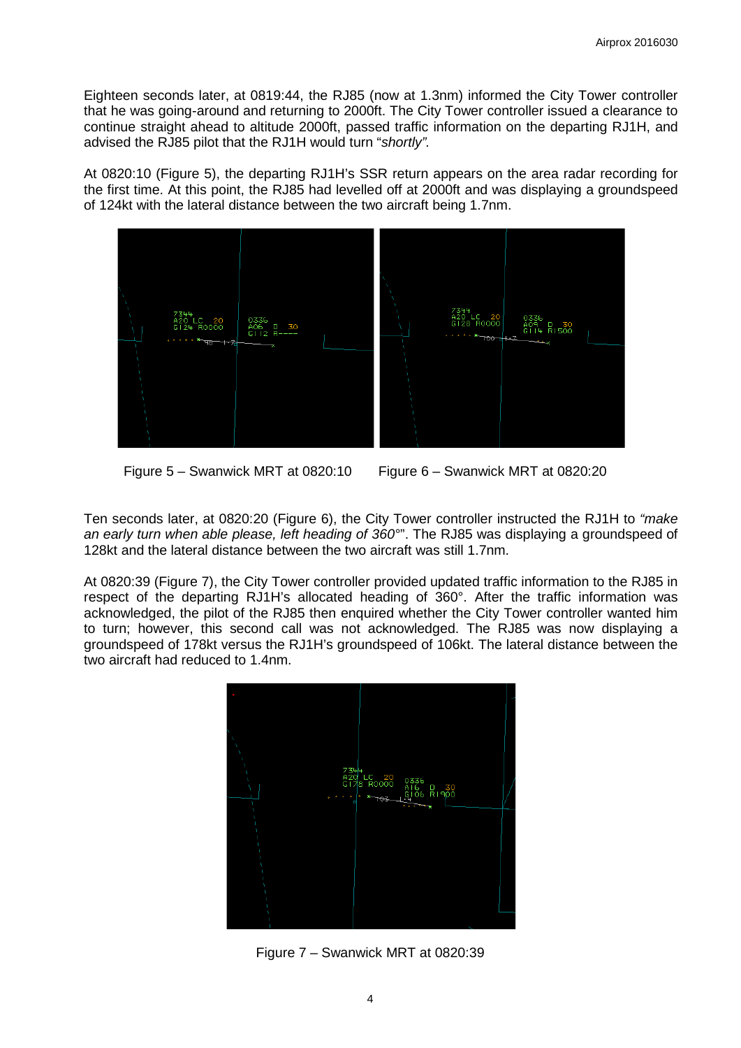Eighteen seconds later, at 0819:44, the RJ85 (now at 1.3nm) informed the City Tower controller that he was going-around and returning to 2000ft. The City Tower controller issued a clearance to continue straight ahead to altitude 2000ft, passed traffic information on the departing RJ1H, and advised the RJ85 pilot that the RJ1H would turn "*shortly".*

At 0820:10 (Figure 5), the departing RJ1H's SSR return appears on the area radar recording for the first time. At this point, the RJ85 had levelled off at 2000ft and was displaying a groundspeed of 124kt with the lateral distance between the two aircraft being 1.7nm.



Figure 5 – Swanwick MRT at 0820:10 Figure 6 – Swanwick MRT at 0820:20

Ten seconds later, at 0820:20 (Figure 6), the City Tower controller instructed the RJ1H to *"make an early turn when able please, left heading of 360°*". The RJ85 was displaying a groundspeed of 128kt and the lateral distance between the two aircraft was still 1.7nm.

At 0820:39 (Figure 7), the City Tower controller provided updated traffic information to the RJ85 in respect of the departing RJ1H's allocated heading of 360°. After the traffic information was acknowledged, the pilot of the RJ85 then enquired whether the City Tower controller wanted him to turn; however, this second call was not acknowledged. The RJ85 was now displaying a groundspeed of 178kt versus the RJ1H's groundspeed of 106kt. The lateral distance between the two aircraft had reduced to 1.4nm.



Figure 7 – Swanwick MRT at 0820:39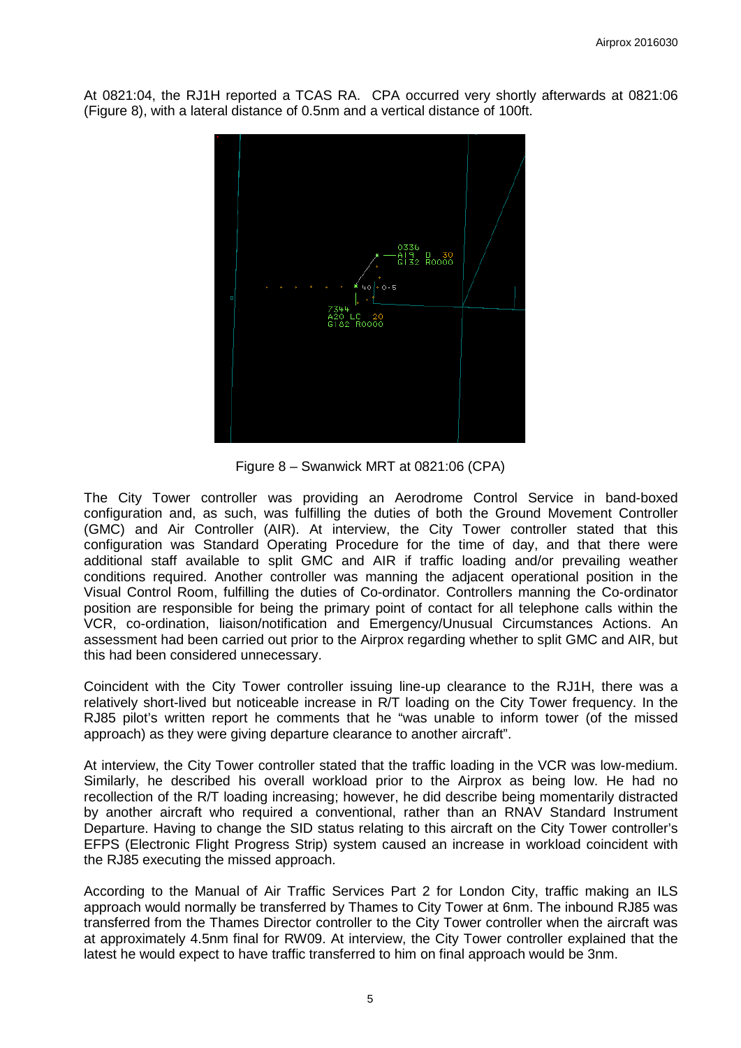At 0821:04, the RJ1H reported a TCAS RA. CPA occurred very shortly afterwards at 0821:06 (Figure 8), with a lateral distance of 0.5nm and a vertical distance of 100ft.



Figure 8 – Swanwick MRT at 0821:06 (CPA)

The City Tower controller was providing an Aerodrome Control Service in band-boxed configuration and, as such, was fulfilling the duties of both the Ground Movement Controller (GMC) and Air Controller (AIR). At interview, the City Tower controller stated that this configuration was Standard Operating Procedure for the time of day, and that there were additional staff available to split GMC and AIR if traffic loading and/or prevailing weather conditions required. Another controller was manning the adjacent operational position in the Visual Control Room, fulfilling the duties of Co-ordinator. Controllers manning the Co-ordinator position are responsible for being the primary point of contact for all telephone calls within the VCR, co-ordination, liaison/notification and Emergency/Unusual Circumstances Actions. An assessment had been carried out prior to the Airprox regarding whether to split GMC and AIR, but this had been considered unnecessary.

Coincident with the City Tower controller issuing line-up clearance to the RJ1H, there was a relatively short-lived but noticeable increase in R/T loading on the City Tower frequency. In the RJ85 pilot's written report he comments that he "was unable to inform tower (of the missed approach) as they were giving departure clearance to another aircraft".

At interview, the City Tower controller stated that the traffic loading in the VCR was low-medium. Similarly, he described his overall workload prior to the Airprox as being low. He had no recollection of the R/T loading increasing; however, he did describe being momentarily distracted by another aircraft who required a conventional, rather than an RNAV Standard Instrument Departure. Having to change the SID status relating to this aircraft on the City Tower controller's EFPS (Electronic Flight Progress Strip) system caused an increase in workload coincident with the RJ85 executing the missed approach.

According to the Manual of Air Traffic Services Part 2 for London City, traffic making an ILS approach would normally be transferred by Thames to City Tower at 6nm. The inbound RJ85 was transferred from the Thames Director controller to the City Tower controller when the aircraft was at approximately 4.5nm final for RW09. At interview, the City Tower controller explained that the latest he would expect to have traffic transferred to him on final approach would be 3nm.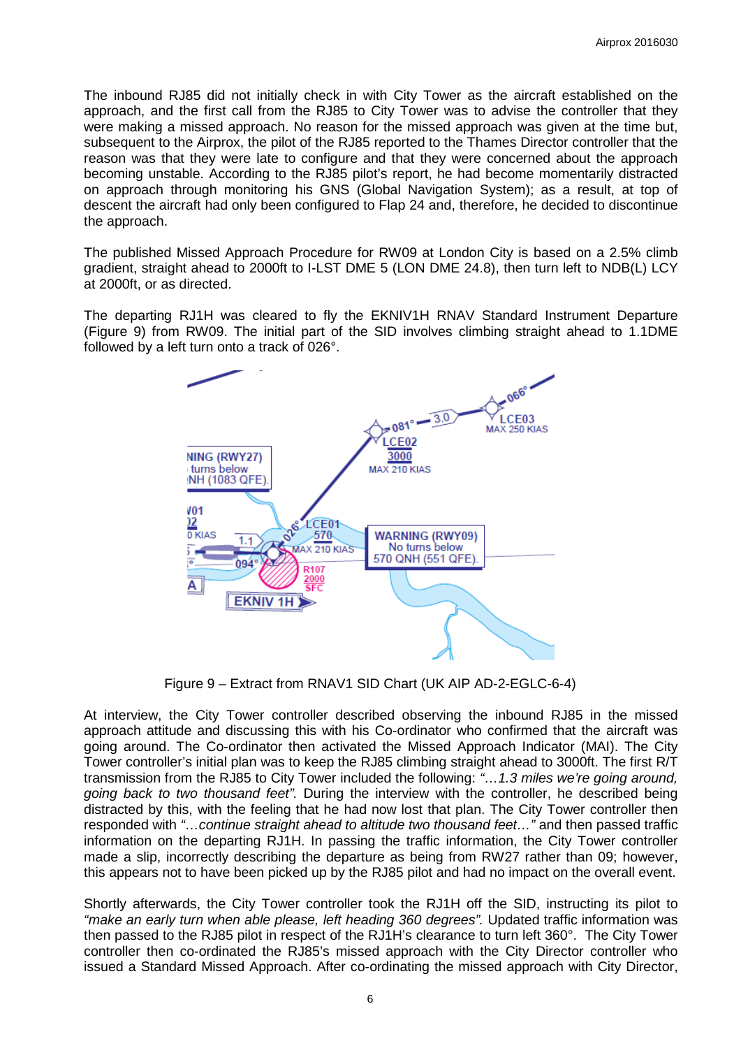The inbound RJ85 did not initially check in with City Tower as the aircraft established on the approach, and the first call from the RJ85 to City Tower was to advise the controller that they were making a missed approach. No reason for the missed approach was given at the time but, subsequent to the Airprox, the pilot of the RJ85 reported to the Thames Director controller that the reason was that they were late to configure and that they were concerned about the approach becoming unstable. According to the RJ85 pilot's report, he had become momentarily distracted on approach through monitoring his GNS (Global Navigation System); as a result, at top of descent the aircraft had only been configured to Flap 24 and, therefore, he decided to discontinue the approach.

The published Missed Approach Procedure for RW09 at London City is based on a 2.5% climb gradient, straight ahead to 2000ft to I-LST DME 5 (LON DME 24.8), then turn left to NDB(L) LCY at 2000ft, or as directed.

The departing RJ1H was cleared to fly the EKNIV1H RNAV Standard Instrument Departure (Figure 9) from RW09. The initial part of the SID involves climbing straight ahead to 1.1DME followed by a left turn onto a track of 026°.



Figure 9 – Extract from RNAV1 SID Chart (UK AIP AD-2-EGLC-6-4)

At interview, the City Tower controller described observing the inbound RJ85 in the missed approach attitude and discussing this with his Co-ordinator who confirmed that the aircraft was going around. The Co-ordinator then activated the Missed Approach Indicator (MAI). The City Tower controller's initial plan was to keep the RJ85 climbing straight ahead to 3000ft. The first R/T transmission from the RJ85 to City Tower included the following: *"…1.3 miles we're going around, going back to two thousand feet".* During the interview with the controller, he described being distracted by this, with the feeling that he had now lost that plan. The City Tower controller then responded with *"…continue straight ahead to altitude two thousand feet…"* and then passed traffic information on the departing RJ1H. In passing the traffic information, the City Tower controller made a slip, incorrectly describing the departure as being from RW27 rather than 09; however, this appears not to have been picked up by the RJ85 pilot and had no impact on the overall event.

Shortly afterwards, the City Tower controller took the RJ1H off the SID, instructing its pilot to *"make an early turn when able please, left heading 360 degrees".* Updated traffic information was then passed to the RJ85 pilot in respect of the RJ1H's clearance to turn left 360°. The City Tower controller then co-ordinated the RJ85's missed approach with the City Director controller who issued a Standard Missed Approach. After co-ordinating the missed approach with City Director,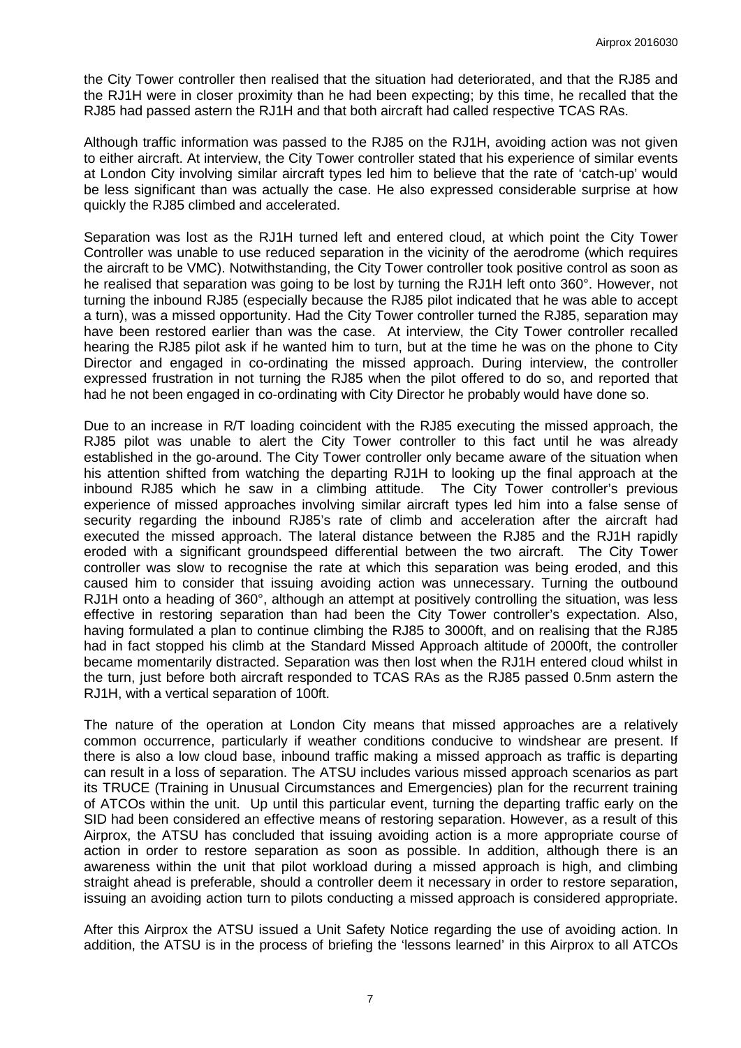the City Tower controller then realised that the situation had deteriorated, and that the RJ85 and the RJ1H were in closer proximity than he had been expecting; by this time, he recalled that the RJ85 had passed astern the RJ1H and that both aircraft had called respective TCAS RAs.

Although traffic information was passed to the RJ85 on the RJ1H, avoiding action was not given to either aircraft. At interview, the City Tower controller stated that his experience of similar events at London City involving similar aircraft types led him to believe that the rate of 'catch-up' would be less significant than was actually the case. He also expressed considerable surprise at how quickly the RJ85 climbed and accelerated.

Separation was lost as the RJ1H turned left and entered cloud, at which point the City Tower Controller was unable to use reduced separation in the vicinity of the aerodrome (which requires the aircraft to be VMC). Notwithstanding, the City Tower controller took positive control as soon as he realised that separation was going to be lost by turning the RJ1H left onto 360°. However, not turning the inbound RJ85 (especially because the RJ85 pilot indicated that he was able to accept a turn), was a missed opportunity. Had the City Tower controller turned the RJ85, separation may have been restored earlier than was the case. At interview, the City Tower controller recalled hearing the RJ85 pilot ask if he wanted him to turn, but at the time he was on the phone to City Director and engaged in co-ordinating the missed approach. During interview, the controller expressed frustration in not turning the RJ85 when the pilot offered to do so, and reported that had he not been engaged in co-ordinating with City Director he probably would have done so.

Due to an increase in R/T loading coincident with the RJ85 executing the missed approach, the RJ85 pilot was unable to alert the City Tower controller to this fact until he was already established in the go-around. The City Tower controller only became aware of the situation when his attention shifted from watching the departing RJ1H to looking up the final approach at the inbound RJ85 which he saw in a climbing attitude. The City Tower controller's previous experience of missed approaches involving similar aircraft types led him into a false sense of security regarding the inbound RJ85's rate of climb and acceleration after the aircraft had executed the missed approach. The lateral distance between the RJ85 and the RJ1H rapidly eroded with a significant groundspeed differential between the two aircraft. The City Tower controller was slow to recognise the rate at which this separation was being eroded, and this caused him to consider that issuing avoiding action was unnecessary. Turning the outbound RJ1H onto a heading of 360°, although an attempt at positively controlling the situation, was less effective in restoring separation than had been the City Tower controller's expectation. Also, having formulated a plan to continue climbing the RJ85 to 3000ft, and on realising that the RJ85 had in fact stopped his climb at the Standard Missed Approach altitude of 2000ft, the controller became momentarily distracted. Separation was then lost when the RJ1H entered cloud whilst in the turn, just before both aircraft responded to TCAS RAs as the RJ85 passed 0.5nm astern the RJ1H, with a vertical separation of 100ft.

The nature of the operation at London City means that missed approaches are a relatively common occurrence, particularly if weather conditions conducive to windshear are present. If there is also a low cloud base, inbound traffic making a missed approach as traffic is departing can result in a loss of separation. The ATSU includes various missed approach scenarios as part its TRUCE (Training in Unusual Circumstances and Emergencies) plan for the recurrent training of ATCOs within the unit. Up until this particular event, turning the departing traffic early on the SID had been considered an effective means of restoring separation. However, as a result of this Airprox, the ATSU has concluded that issuing avoiding action is a more appropriate course of action in order to restore separation as soon as possible. In addition, although there is an awareness within the unit that pilot workload during a missed approach is high, and climbing straight ahead is preferable, should a controller deem it necessary in order to restore separation, issuing an avoiding action turn to pilots conducting a missed approach is considered appropriate.

After this Airprox the ATSU issued a Unit Safety Notice regarding the use of avoiding action. In addition, the ATSU is in the process of briefing the 'lessons learned' in this Airprox to all ATCOs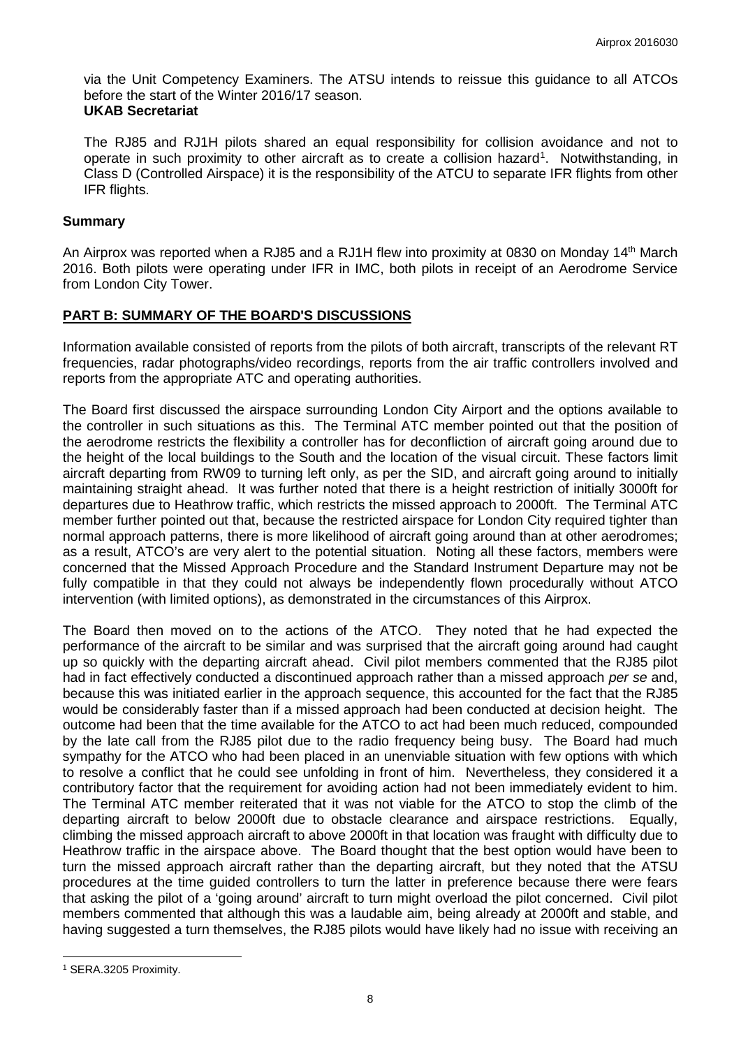via the Unit Competency Examiners. The ATSU intends to reissue this guidance to all ATCOs before the start of the Winter 2016/17 season. **UKAB Secretariat**

The RJ85 and RJ1H pilots shared an equal responsibility for collision avoidance and not to operate in such proximity to other aircraft as to create a collision hazard<sup>[1](#page-7-0)</sup>. Notwithstanding, in Class D (Controlled Airspace) it is the responsibility of the ATCU to separate IFR flights from other

#### **Summary**

IFR flights.

An Airprox was reported when a RJ85 and a RJ1H flew into proximity at 0830 on Monday 14th March 2016. Both pilots were operating under IFR in IMC, both pilots in receipt of an Aerodrome Service from London City Tower.

## **PART B: SUMMARY OF THE BOARD'S DISCUSSIONS**

Information available consisted of reports from the pilots of both aircraft, transcripts of the relevant RT frequencies, radar photographs/video recordings, reports from the air traffic controllers involved and reports from the appropriate ATC and operating authorities.

The Board first discussed the airspace surrounding London City Airport and the options available to the controller in such situations as this. The Terminal ATC member pointed out that the position of the aerodrome restricts the flexibility a controller has for deconfliction of aircraft going around due to the height of the local buildings to the South and the location of the visual circuit. These factors limit aircraft departing from RW09 to turning left only, as per the SID, and aircraft going around to initially maintaining straight ahead. It was further noted that there is a height restriction of initially 3000ft for departures due to Heathrow traffic, which restricts the missed approach to 2000ft. The Terminal ATC member further pointed out that, because the restricted airspace for London City required tighter than normal approach patterns, there is more likelihood of aircraft going around than at other aerodromes; as a result, ATCO's are very alert to the potential situation. Noting all these factors, members were concerned that the Missed Approach Procedure and the Standard Instrument Departure may not be fully compatible in that they could not always be independently flown procedurally without ATCO intervention (with limited options), as demonstrated in the circumstances of this Airprox.

The Board then moved on to the actions of the ATCO. They noted that he had expected the performance of the aircraft to be similar and was surprised that the aircraft going around had caught up so quickly with the departing aircraft ahead. Civil pilot members commented that the RJ85 pilot had in fact effectively conducted a discontinued approach rather than a missed approach *per se* and, because this was initiated earlier in the approach sequence, this accounted for the fact that the RJ85 would be considerably faster than if a missed approach had been conducted at decision height. The outcome had been that the time available for the ATCO to act had been much reduced, compounded by the late call from the RJ85 pilot due to the radio frequency being busy. The Board had much sympathy for the ATCO who had been placed in an unenviable situation with few options with which to resolve a conflict that he could see unfolding in front of him. Nevertheless, they considered it a contributory factor that the requirement for avoiding action had not been immediately evident to him. The Terminal ATC member reiterated that it was not viable for the ATCO to stop the climb of the departing aircraft to below 2000ft due to obstacle clearance and airspace restrictions. Equally, climbing the missed approach aircraft to above 2000ft in that location was fraught with difficulty due to Heathrow traffic in the airspace above. The Board thought that the best option would have been to turn the missed approach aircraft rather than the departing aircraft, but they noted that the ATSU procedures at the time guided controllers to turn the latter in preference because there were fears that asking the pilot of a 'going around' aircraft to turn might overload the pilot concerned. Civil pilot members commented that although this was a laudable aim, being already at 2000ft and stable, and having suggested a turn themselves, the RJ85 pilots would have likely had no issue with receiving an

 $\overline{\phantom{a}}$ 

<span id="page-7-0"></span><sup>1</sup> SERA.3205 Proximity.